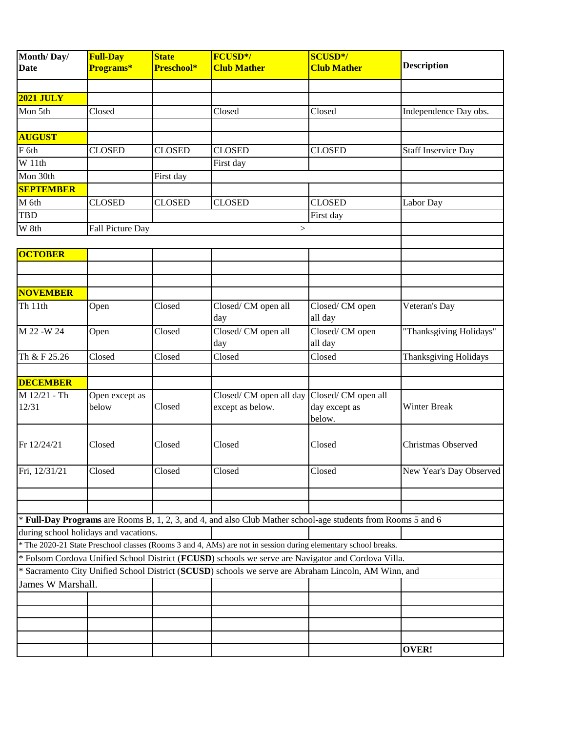| Month/Day/         | <b>Full-Day</b>                       | <b>State</b>  | FCUSD*/                                                                                                        | <b>SCUSD*/</b>     |                              |
|--------------------|---------------------------------------|---------------|----------------------------------------------------------------------------------------------------------------|--------------------|------------------------------|
| <b>Date</b>        | Programs*                             | Preschool*    | <b>Club Mather</b>                                                                                             | <b>Club Mather</b> | <b>Description</b>           |
|                    |                                       |               |                                                                                                                |                    |                              |
| <b>2021 JULY</b>   |                                       |               |                                                                                                                |                    |                              |
| Mon 5th            | Closed                                |               | Closed                                                                                                         | Closed             | Independence Day obs.        |
|                    |                                       |               |                                                                                                                |                    |                              |
| <b>AUGUST</b>      |                                       |               |                                                                                                                |                    |                              |
| F 6th              | <b>CLOSED</b>                         | <b>CLOSED</b> | <b>CLOSED</b>                                                                                                  | <b>CLOSED</b>      | <b>Staff Inservice Day</b>   |
| $\overline{W11th}$ |                                       |               | First day                                                                                                      |                    |                              |
| Mon 30th           |                                       | First day     |                                                                                                                |                    |                              |
| <b>SEPTEMBER</b>   |                                       |               |                                                                                                                |                    |                              |
| M 6th              | <b>CLOSED</b>                         | <b>CLOSED</b> | <b>CLOSED</b>                                                                                                  | <b>CLOSED</b>      | Labor Day                    |
| <b>TBD</b>         |                                       |               |                                                                                                                | First day          |                              |
| W 8th              | Fall Picture Day                      |               | >                                                                                                              |                    |                              |
|                    |                                       |               |                                                                                                                |                    |                              |
| <b>OCTOBER</b>     |                                       |               |                                                                                                                |                    |                              |
|                    |                                       |               |                                                                                                                |                    |                              |
|                    |                                       |               |                                                                                                                |                    |                              |
| <b>NOVEMBER</b>    |                                       |               |                                                                                                                |                    |                              |
| Th 11th            | Open                                  | Closed        | Closed/CM open all                                                                                             | Closed/CM open     | Veteran's Day                |
|                    |                                       |               | day                                                                                                            | all day            |                              |
| M 22 - W 24        | Open                                  | Closed        | Closed/CM open all                                                                                             | Closed/CM open     | "Thanksgiving Holidays"      |
|                    |                                       |               | day                                                                                                            | all day            |                              |
| Th & F 25.26       | Closed                                | Closed        | Closed                                                                                                         | Closed             | <b>Thanksgiving Holidays</b> |
|                    |                                       |               |                                                                                                                |                    |                              |
| <b>DECEMBER</b>    |                                       |               |                                                                                                                |                    |                              |
| M 12/21 - Th       | Open except as                        |               | Closed/ CM open all day                                                                                        | Closed/CM open all |                              |
| 12/31              | below                                 | Closed        | except as below.                                                                                               | day except as      | Winter Break                 |
|                    |                                       |               |                                                                                                                | below.             |                              |
|                    |                                       |               |                                                                                                                |                    |                              |
| Fr 12/24/21        | Closed                                | Closed        | Closed                                                                                                         | Closed             | Christmas Observed           |
|                    |                                       |               |                                                                                                                |                    |                              |
| Fri, 12/31/21      | Closed                                | Closed        | Closed                                                                                                         | Closed             | New Year's Day Observed      |
|                    |                                       |               |                                                                                                                |                    |                              |
|                    |                                       |               |                                                                                                                |                    |                              |
|                    |                                       |               |                                                                                                                |                    |                              |
|                    | during school holidays and vacations. |               | * Full-Day Programs are Rooms B, 1, 2, 3, and 4, and also Club Mather school-age students from Rooms 5 and 6   |                    |                              |
|                    |                                       |               | * The 2020-21 State Preschool classes (Rooms 3 and 4, AMs) are not in session during elementary school breaks. |                    |                              |
|                    |                                       |               | * Folsom Cordova Unified School District (FCUSD) schools we serve are Navigator and Cordova Villa.             |                    |                              |
|                    |                                       |               | * Sacramento City Unified School District (SCUSD) schools we serve are Abraham Lincoln, AM Winn, and           |                    |                              |
| James W Marshall.  |                                       |               |                                                                                                                |                    |                              |
|                    |                                       |               |                                                                                                                |                    |                              |
|                    |                                       |               |                                                                                                                |                    |                              |
|                    |                                       |               |                                                                                                                |                    |                              |
|                    |                                       |               |                                                                                                                |                    |                              |
|                    |                                       |               |                                                                                                                |                    | <b>OVER!</b>                 |
|                    |                                       |               |                                                                                                                |                    |                              |